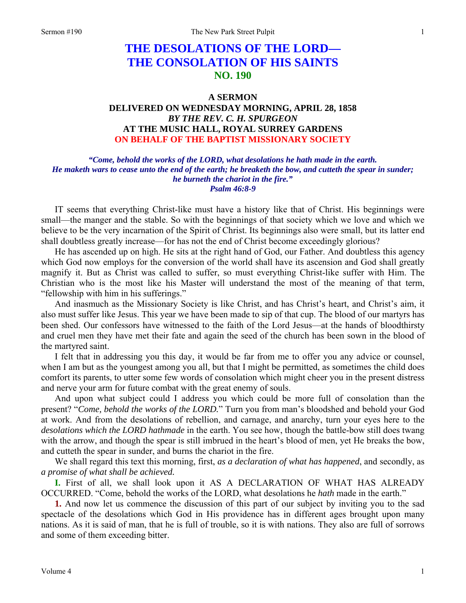## **THE DESOLATIONS OF THE LORD— THE CONSOLATION OF HIS SAINTS NO. 190**

## **A SERMON**

## **DELIVERED ON WEDNESDAY MORNING, APRIL 28, 1858**  *BY THE REV. C. H. SPURGEON*  **AT THE MUSIC HALL, ROYAL SURREY GARDENS ON BEHALF OF THE BAPTIST MISSIONARY SOCIETY**

## *"Come, behold the works of the LORD, what desolations he hath made in the earth. He maketh wars to cease unto the end of the earth; he breaketh the bow, and cutteth the spear in sunder; he burneth the chariot in the fire." Psalm 46:8-9*

IT seems that everything Christ-like must have a history like that of Christ. His beginnings were small—the manger and the stable. So with the beginnings of that society which we love and which we believe to be the very incarnation of the Spirit of Christ. Its beginnings also were small, but its latter end shall doubtless greatly increase—for has not the end of Christ become exceedingly glorious?

He has ascended up on high. He sits at the right hand of God, our Father. And doubtless this agency which God now employs for the conversion of the world shall have its ascension and God shall greatly magnify it. But as Christ was called to suffer, so must everything Christ-like suffer with Him. The Christian who is the most like his Master will understand the most of the meaning of that term, "fellowship with him in his sufferings."

And inasmuch as the Missionary Society is like Christ, and has Christ's heart, and Christ's aim, it also must suffer like Jesus. This year we have been made to sip of that cup. The blood of our martyrs has been shed. Our confessors have witnessed to the faith of the Lord Jesus—at the hands of bloodthirsty and cruel men they have met their fate and again the seed of the church has been sown in the blood of the martyred saint.

I felt that in addressing you this day, it would be far from me to offer you any advice or counsel, when I am but as the youngest among you all, but that I might be permitted, as sometimes the child does comfort its parents, to utter some few words of consolation which might cheer you in the present distress and nerve your arm for future combat with the great enemy of souls.

And upon what subject could I address you which could be more full of consolation than the present? "*Come, behold the works of the LORD.*" Turn you from man's bloodshed and behold your God at work. And from the desolations of rebellion, and carnage, and anarchy, turn your eyes here to the *desolations which the LORD hathmade* in the earth. You see how, though the battle-bow still does twang with the arrow, and though the spear is still imbrued in the heart's blood of men, yet He breaks the bow, and cutteth the spear in sunder, and burns the chariot in the fire.

We shall regard this text this morning, first, *as a declaration of what has happened*, and secondly, as *a promise of what shall be achieved.*

**I.** First of all, we shall look upon it AS A DECLARATION OF WHAT HAS ALREADY OCCURRED. "Come, behold the works of the LORD, what desolations he *hath* made in the earth."

**1.** And now let us commence the discussion of this part of our subject by inviting you to the sad spectacle of the desolations which God in His providence has in different ages brought upon many nations. As it is said of man, that he is full of trouble, so it is with nations. They also are full of sorrows and some of them exceeding bitter.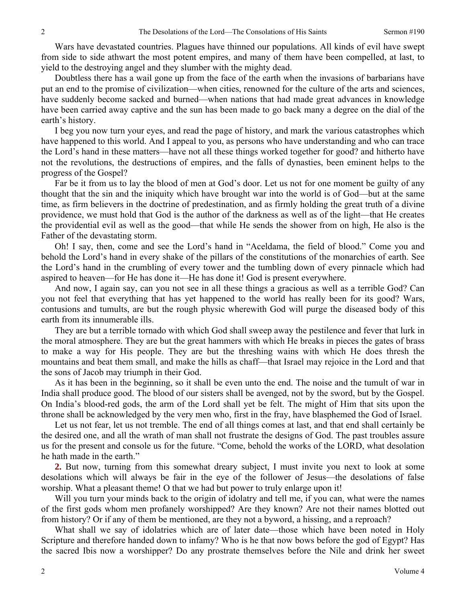Wars have devastated countries. Plagues have thinned our populations. All kinds of evil have swept from side to side athwart the most potent empires, and many of them have been compelled, at last, to yield to the destroying angel and they slumber with the mighty dead.

Doubtless there has a wail gone up from the face of the earth when the invasions of barbarians have put an end to the promise of civilization—when cities, renowned for the culture of the arts and sciences, have suddenly become sacked and burned—when nations that had made great advances in knowledge have been carried away captive and the sun has been made to go back many a degree on the dial of the earth's history.

I beg you now turn your eyes, and read the page of history, and mark the various catastrophes which have happened to this world. And I appeal to you, as persons who have understanding and who can trace the Lord's hand in these matters—have not all these things worked together for good? and hitherto have not the revolutions, the destructions of empires, and the falls of dynasties, been eminent helps to the progress of the Gospel?

Far be it from us to lay the blood of men at God's door. Let us not for one moment be guilty of any thought that the sin and the iniquity which have brought war into the world is of God—but at the same time, as firm believers in the doctrine of predestination, and as firmly holding the great truth of a divine providence, we must hold that God is the author of the darkness as well as of the light—that He creates the providential evil as well as the good—that while He sends the shower from on high, He also is the Father of the devastating storm.

Oh! I say, then, come and see the Lord's hand in "Aceldama, the field of blood." Come you and behold the Lord's hand in every shake of the pillars of the constitutions of the monarchies of earth. See the Lord's hand in the crumbling of every tower and the tumbling down of every pinnacle which had aspired to heaven—for He has done it—He has done it! God is present everywhere.

And now, I again say, can you not see in all these things a gracious as well as a terrible God? Can you not feel that everything that has yet happened to the world has really been for its good? Wars, contusions and tumults, are but the rough physic wherewith God will purge the diseased body of this earth from its innumerable ills.

They are but a terrible tornado with which God shall sweep away the pestilence and fever that lurk in the moral atmosphere. They are but the great hammers with which He breaks in pieces the gates of brass to make a way for His people. They are but the threshing wains with which He does thresh the mountains and beat them small, and make the hills as chaff—that Israel may rejoice in the Lord and that the sons of Jacob may triumph in their God.

As it has been in the beginning, so it shall be even unto the end. The noise and the tumult of war in India shall produce good. The blood of our sisters shall be avenged, not by the sword, but by the Gospel. On India's blood-red gods, the arm of the Lord shall yet be felt. The might of Him that sits upon the throne shall be acknowledged by the very men who, first in the fray, have blasphemed the God of Israel.

Let us not fear, let us not tremble. The end of all things comes at last, and that end shall certainly be the desired one, and all the wrath of man shall not frustrate the designs of God. The past troubles assure us for the present and console us for the future. "Come, behold the works of the LORD, what desolation he hath made in the earth."

**2.** But now, turning from this somewhat dreary subject, I must invite you next to look at some desolations which will always be fair in the eye of the follower of Jesus—the desolations of false worship. What a pleasant theme! O that we had but power to truly enlarge upon it!

Will you turn your minds back to the origin of idolatry and tell me, if you can, what were the names of the first gods whom men profanely worshipped? Are they known? Are not their names blotted out from history? Or if any of them be mentioned, are they not a byword, a hissing, and a reproach?

What shall we say of idolatries which are of later date—those which have been noted in Holy Scripture and therefore handed down to infamy? Who is he that now bows before the god of Egypt? Has the sacred Ibis now a worshipper? Do any prostrate themselves before the Nile and drink her sweet

2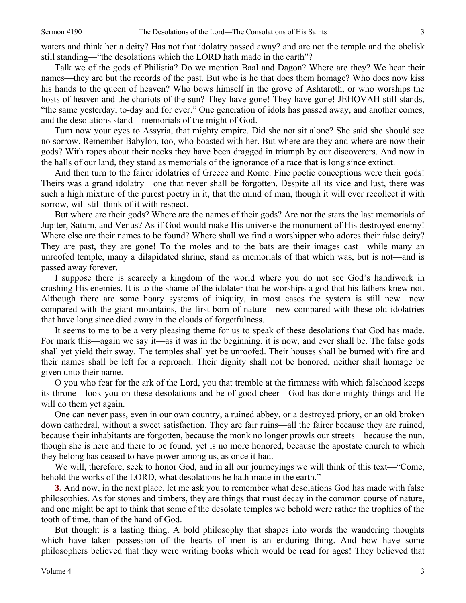3

waters and think her a deity? Has not that idolatry passed away? and are not the temple and the obelisk still standing—"the desolations which the LORD hath made in the earth"?

Talk we of the gods of Philistia? Do we mention Baal and Dagon? Where are they? We hear their names—they are but the records of the past. But who is he that does them homage? Who does now kiss his hands to the queen of heaven? Who bows himself in the grove of Ashtaroth, or who worships the hosts of heaven and the chariots of the sun? They have gone! They have gone! JEHOVAH still stands, "the same yesterday, to-day and for ever." One generation of idols has passed away, and another comes, and the desolations stand—memorials of the might of God.

Turn now your eyes to Assyria, that mighty empire. Did she not sit alone? She said she should see no sorrow. Remember Babylon, too, who boasted with her. But where are they and where are now their gods? With ropes about their necks they have been dragged in triumph by our discoverers. And now in the halls of our land, they stand as memorials of the ignorance of a race that is long since extinct.

And then turn to the fairer idolatries of Greece and Rome. Fine poetic conceptions were their gods! Theirs was a grand idolatry—one that never shall be forgotten. Despite all its vice and lust, there was such a high mixture of the purest poetry in it, that the mind of man, though it will ever recollect it with sorrow, will still think of it with respect.

But where are their gods? Where are the names of their gods? Are not the stars the last memorials of Jupiter, Saturn, and Venus? As if God would make His universe the monument of His destroyed enemy! Where else are their names to be found? Where shall we find a worshipper who adores their false deity? They are past, they are gone! To the moles and to the bats are their images cast—while many an unroofed temple, many a dilapidated shrine, stand as memorials of that which was, but is not—and is passed away forever.

I suppose there is scarcely a kingdom of the world where you do not see God's handiwork in crushing His enemies. It is to the shame of the idolater that he worships a god that his fathers knew not. Although there are some hoary systems of iniquity, in most cases the system is still new—new compared with the giant mountains, the first-born of nature—new compared with these old idolatries that have long since died away in the clouds of forgetfulness.

It seems to me to be a very pleasing theme for us to speak of these desolations that God has made. For mark this—again we say it—as it was in the beginning, it is now, and ever shall be. The false gods shall yet yield their sway. The temples shall yet be unroofed. Their houses shall be burned with fire and their names shall be left for a reproach. Their dignity shall not be honored, neither shall homage be given unto their name.

O you who fear for the ark of the Lord, you that tremble at the firmness with which falsehood keeps its throne—look you on these desolations and be of good cheer—God has done mighty things and He will do them yet again.

One can never pass, even in our own country, a ruined abbey, or a destroyed priory, or an old broken down cathedral, without a sweet satisfaction. They are fair ruins—all the fairer because they are ruined, because their inhabitants are forgotten, because the monk no longer prowls our streets—because the nun, though she is here and there to be found, yet is no more honored, because the apostate church to which they belong has ceased to have power among us, as once it had.

We will, therefore, seek to honor God, and in all our journeyings we will think of this text—"Come, behold the works of the LORD, what desolations he hath made in the earth."

**3.** And now, in the next place, let me ask you to remember what desolations God has made with false philosophies. As for stones and timbers, they are things that must decay in the common course of nature, and one might be apt to think that some of the desolate temples we behold were rather the trophies of the tooth of time, than of the hand of God.

But thought is a lasting thing. A bold philosophy that shapes into words the wandering thoughts which have taken possession of the hearts of men is an enduring thing. And how have some philosophers believed that they were writing books which would be read for ages! They believed that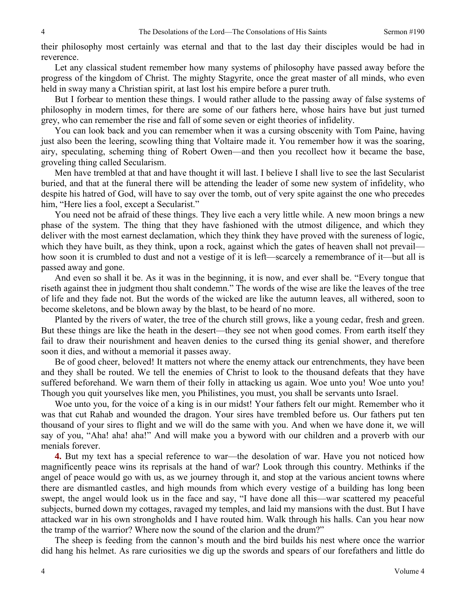their philosophy most certainly was eternal and that to the last day their disciples would be had in reverence.

Let any classical student remember how many systems of philosophy have passed away before the progress of the kingdom of Christ. The mighty Stagyrite, once the great master of all minds, who even held in sway many a Christian spirit, at last lost his empire before a purer truth.

But I forbear to mention these things. I would rather allude to the passing away of false systems of philosophy in modern times, for there are some of our fathers here, whose hairs have but just turned grey, who can remember the rise and fall of some seven or eight theories of infidelity.

You can look back and you can remember when it was a cursing obscenity with Tom Paine, having just also been the leering, scowling thing that Voltaire made it. You remember how it was the soaring, airy, speculating, scheming thing of Robert Owen—and then you recollect how it became the base, groveling thing called Secularism.

Men have trembled at that and have thought it will last. I believe I shall live to see the last Secularist buried, and that at the funeral there will be attending the leader of some new system of infidelity, who despite his hatred of God, will have to say over the tomb, out of very spite against the one who precedes him, "Here lies a fool, except a Secularist."

You need not be afraid of these things. They live each a very little while. A new moon brings a new phase of the system. The thing that they have fashioned with the utmost diligence, and which they deliver with the most earnest declamation, which they think they have proved with the sureness of logic, which they have built, as they think, upon a rock, against which the gates of heaven shall not prevail how soon it is crumbled to dust and not a vestige of it is left—scarcely a remembrance of it—but all is passed away and gone.

And even so shall it be. As it was in the beginning, it is now, and ever shall be. "Every tongue that riseth against thee in judgment thou shalt condemn." The words of the wise are like the leaves of the tree of life and they fade not. But the words of the wicked are like the autumn leaves, all withered, soon to become skeletons, and be blown away by the blast, to be heard of no more.

Planted by the rivers of water, the tree of the church still grows, like a young cedar, fresh and green. But these things are like the heath in the desert—they see not when good comes. From earth itself they fail to draw their nourishment and heaven denies to the cursed thing its genial shower, and therefore soon it dies, and without a memorial it passes away.

Be of good cheer, beloved! It matters not where the enemy attack our entrenchments, they have been and they shall be routed. We tell the enemies of Christ to look to the thousand defeats that they have suffered beforehand. We warn them of their folly in attacking us again. Woe unto you! Woe unto you! Though you quit yourselves like men, you Philistines, you must, you shall be servants unto Israel.

Woe unto you, for the voice of a king is in our midst! Your fathers felt our might. Remember who it was that cut Rahab and wounded the dragon. Your sires have trembled before us. Our fathers put ten thousand of your sires to flight and we will do the same with you. And when we have done it, we will say of you, "Aha! aha! aha!" And will make you a byword with our children and a proverb with our menials forever.

**4.** But my text has a special reference to war—the desolation of war. Have you not noticed how magnificently peace wins its reprisals at the hand of war? Look through this country. Methinks if the angel of peace would go with us, as we journey through it, and stop at the various ancient towns where there are dismantled castles, and high mounds from which every vestige of a building has long been swept, the angel would look us in the face and say, "I have done all this—war scattered my peaceful subjects, burned down my cottages, ravaged my temples, and laid my mansions with the dust. But I have attacked war in his own strongholds and I have routed him. Walk through his halls. Can you hear now the tramp of the warrior? Where now the sound of the clarion and the drum?"

The sheep is feeding from the cannon's mouth and the bird builds his nest where once the warrior did hang his helmet. As rare curiosities we dig up the swords and spears of our forefathers and little do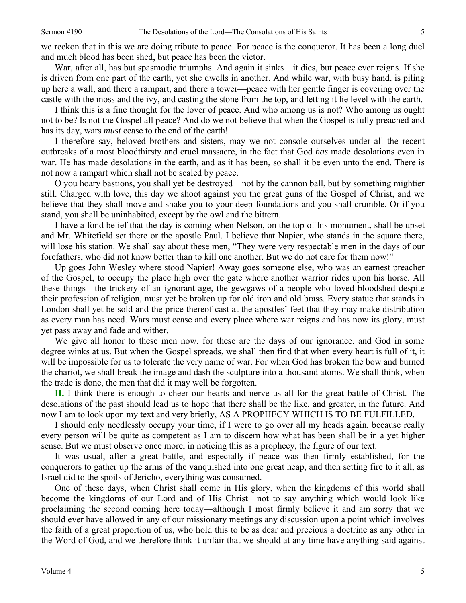we reckon that in this we are doing tribute to peace. For peace is the conqueror. It has been a long duel and much blood has been shed, but peace has been the victor.

War, after all, has but spasmodic triumphs. And again it sinks—it dies, but peace ever reigns. If she is driven from one part of the earth, yet she dwells in another. And while war, with busy hand, is piling up here a wall, and there a rampart, and there a tower—peace with her gentle finger is covering over the castle with the moss and the ivy, and casting the stone from the top, and letting it lie level with the earth.

I think this is a fine thought for the lover of peace. And who among us is not? Who among us ought not to be? Is not the Gospel all peace? And do we not believe that when the Gospel is fully preached and has its day, wars *must* cease to the end of the earth!

I therefore say, beloved brothers and sisters, may we not console ourselves under all the recent outbreaks of a most bloodthirsty and cruel massacre, in the fact that God *has* made desolations even in war. He has made desolations in the earth, and as it has been, so shall it be even unto the end. There is not now a rampart which shall not be sealed by peace.

O you hoary bastions, you shall yet be destroyed—not by the cannon ball, but by something mightier still. Charged with love, this day we shoot against you the great guns of the Gospel of Christ, and we believe that they shall move and shake you to your deep foundations and you shall crumble. Or if you stand, you shall be uninhabited, except by the owl and the bittern.

I have a fond belief that the day is coming when Nelson, on the top of his monument, shall be upset and Mr. Whitefield set there or the apostle Paul. I believe that Napier, who stands in the square there, will lose his station. We shall say about these men, "They were very respectable men in the days of our forefathers, who did not know better than to kill one another. But we do not care for them now!"

Up goes John Wesley where stood Napier! Away goes someone else, who was an earnest preacher of the Gospel, to occupy the place high over the gate where another warrior rides upon his horse. All these things—the trickery of an ignorant age, the gewgaws of a people who loved bloodshed despite their profession of religion, must yet be broken up for old iron and old brass. Every statue that stands in London shall yet be sold and the price thereof cast at the apostles' feet that they may make distribution as every man has need. Wars must cease and every place where war reigns and has now its glory, must yet pass away and fade and wither.

We give all honor to these men now, for these are the days of our ignorance, and God in some degree winks at us. But when the Gospel spreads, we shall then find that when every heart is full of it, it will be impossible for us to tolerate the very name of war. For when God has broken the bow and burned the chariot, we shall break the image and dash the sculpture into a thousand atoms. We shall think, when the trade is done, the men that did it may well be forgotten.

**II.** I think there is enough to cheer our hearts and nerve us all for the great battle of Christ. The desolations of the past should lead us to hope that there shall be the like, and greater, in the future. And now I am to look upon my text and very briefly, AS A PROPHECY WHICH IS TO BE FULFILLED.

I should only needlessly occupy your time, if I were to go over all my heads again, because really every person will be quite as competent as I am to discern how what has been shall be in a yet higher sense. But we must observe once more, in noticing this as a prophecy, the figure of our text.

It was usual, after a great battle, and especially if peace was then firmly established, for the conquerors to gather up the arms of the vanquished into one great heap, and then setting fire to it all, as Israel did to the spoils of Jericho, everything was consumed.

One of these days, when Christ shall come in His glory, when the kingdoms of this world shall become the kingdoms of our Lord and of His Christ—not to say anything which would look like proclaiming the second coming here today—although I most firmly believe it and am sorry that we should ever have allowed in any of our missionary meetings any discussion upon a point which involves the faith of a great proportion of us, who hold this to be as dear and precious a doctrine as any other in the Word of God, and we therefore think it unfair that we should at any time have anything said against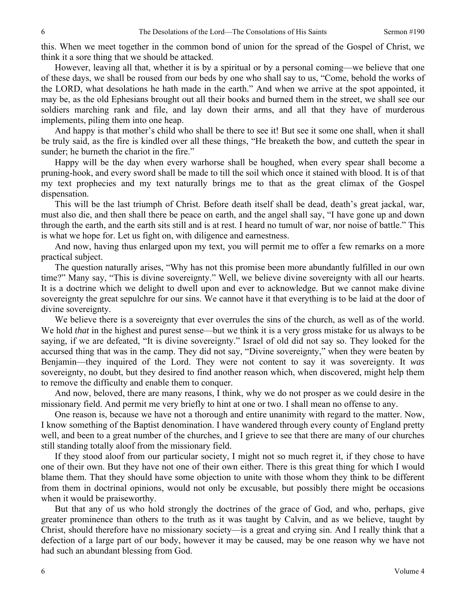this. When we meet together in the common bond of union for the spread of the Gospel of Christ, we think it a sore thing that we should be attacked.

However, leaving all that, whether it is by a spiritual or by a personal coming—we believe that one of these days, we shall be roused from our beds by one who shall say to us, "Come, behold the works of the LORD, what desolations he hath made in the earth." And when we arrive at the spot appointed, it may be, as the old Ephesians brought out all their books and burned them in the street, we shall see our soldiers marching rank and file, and lay down their arms, and all that they have of murderous implements, piling them into one heap.

And happy is that mother's child who shall be there to see it! But see it some one shall, when it shall be truly said, as the fire is kindled over all these things, "He breaketh the bow, and cutteth the spear in sunder; he burneth the chariot in the fire."

Happy will be the day when every warhorse shall be houghed, when every spear shall become a pruning-hook, and every sword shall be made to till the soil which once it stained with blood. It is of that my text prophecies and my text naturally brings me to that as the great climax of the Gospel dispensation.

This will be the last triumph of Christ. Before death itself shall be dead, death's great jackal, war, must also die, and then shall there be peace on earth, and the angel shall say, "I have gone up and down through the earth, and the earth sits still and is at rest. I heard no tumult of war, nor noise of battle." This is what we hope for. Let us fight on, with diligence and earnestness.

And now, having thus enlarged upon my text, you will permit me to offer a few remarks on a more practical subject.

The question naturally arises, "Why has not this promise been more abundantly fulfilled in our own time?" Many say, "This is divine sovereignty." Well, we believe divine sovereignty with all our hearts. It is a doctrine which we delight to dwell upon and ever to acknowledge. But we cannot make divine sovereignty the great sepulchre for our sins. We cannot have it that everything is to be laid at the door of divine sovereignty.

We believe there is a sovereignty that ever overrules the sins of the church, as well as of the world. We hold *that* in the highest and purest sense—but we think it is a very gross mistake for us always to be saying, if we are defeated, "It is divine sovereignty." Israel of old did not say so. They looked for the accursed thing that was in the camp. They did not say, "Divine sovereignty," when they were beaten by Benjamin—they inquired of the Lord. They were not content to say it was sovereignty. It *was* sovereignty, no doubt, but they desired to find another reason which, when discovered, might help them to remove the difficulty and enable them to conquer.

And now, beloved, there are many reasons, I think, why we do not prosper as we could desire in the missionary field. And permit me very briefly to hint at one or two. I shall mean no offense to any.

One reason is, because we have not a thorough and entire unanimity with regard to the matter. Now, I know something of the Baptist denomination. I have wandered through every county of England pretty well, and been to a great number of the churches, and I grieve to see that there are many of our churches still standing totally aloof from the missionary field.

If they stood aloof from our particular society, I might not so much regret it, if they chose to have one of their own. But they have not one of their own either. There is this great thing for which I would blame them. That they should have some objection to unite with those whom they think to be different from them in doctrinal opinions, would not only be excusable, but possibly there might be occasions when it would be praiseworthy.

But that any of us who hold strongly the doctrines of the grace of God, and who, perhaps, give greater prominence than others to the truth as it was taught by Calvin, and as we believe, taught by Christ, should therefore have no missionary society—is a great and crying sin. And I really think that a defection of a large part of our body, however it may be caused, may be one reason why we have not had such an abundant blessing from God.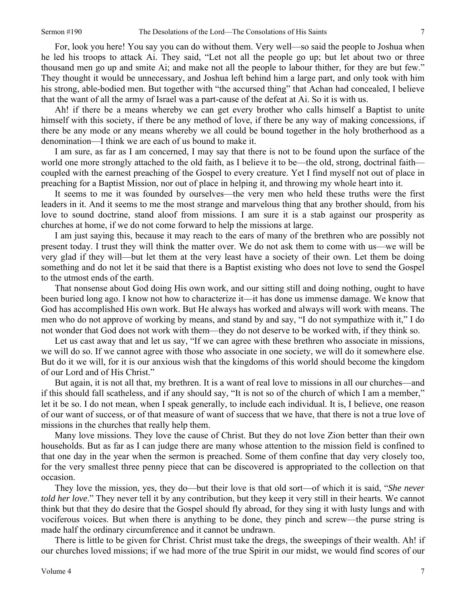For, look you here! You say you can do without them. Very well—so said the people to Joshua when he led his troops to attack Ai. They said, "Let not all the people go up; but let about two or three thousand men go up and smite Ai; and make not all the people to labour thither, for they are but few." They thought it would be unnecessary, and Joshua left behind him a large part, and only took with him his strong, able-bodied men. But together with "the accursed thing" that Achan had concealed, I believe that the want of all the army of Israel was a part-cause of the defeat at Ai. So it is with us.

Ah! if there be a means whereby we can get every brother who calls himself a Baptist to unite himself with this society, if there be any method of love, if there be any way of making concessions, if there be any mode or any means whereby we all could be bound together in the holy brotherhood as a denomination—I think we are each of us bound to make it.

I am sure, as far as I am concerned, I may say that there is not to be found upon the surface of the world one more strongly attached to the old faith, as I believe it to be—the old, strong, doctrinal faith coupled with the earnest preaching of the Gospel to every creature. Yet I find myself not out of place in preaching for a Baptist Mission, nor out of place in helping it, and throwing my whole heart into it.

It seems to me it was founded by ourselves—the very men who held these truths were the first leaders in it. And it seems to me the most strange and marvelous thing that any brother should, from his love to sound doctrine, stand aloof from missions. I am sure it is a stab against our prosperity as churches at home, if we do not come forward to help the missions at large.

I am just saying this, because it may reach to the ears of many of the brethren who are possibly not present today. I trust they will think the matter over. We do not ask them to come with us—we will be very glad if they will—but let them at the very least have a society of their own. Let them be doing something and do not let it be said that there is a Baptist existing who does not love to send the Gospel to the utmost ends of the earth.

That nonsense about God doing His own work, and our sitting still and doing nothing, ought to have been buried long ago. I know not how to characterize it—it has done us immense damage. We know that God has accomplished His own work. But He always has worked and always will work with means. The men who do not approve of working by means, and stand by and say, "I do not sympathize with it," I do not wonder that God does not work with them—they do not deserve to be worked with, if they think so.

Let us cast away that and let us say, "If we can agree with these brethren who associate in missions, we will do so. If we cannot agree with those who associate in one society, we will do it somewhere else. But do it we will, for it is our anxious wish that the kingdoms of this world should become the kingdom of our Lord and of His Christ."

But again, it is not all that, my brethren. It is a want of real love to missions in all our churches—and if this should fall scatheless, and if any should say, "It is not so of the church of which I am a member," let it be so. I do not mean, when I speak generally, to include each individual. It is, I believe, one reason of our want of success, or of that measure of want of success that we have, that there is not a true love of missions in the churches that really help them.

Many love missions. They love the cause of Christ. But they do not love Zion better than their own households. But as far as I can judge there are many whose attention to the mission field is confined to that one day in the year when the sermon is preached. Some of them confine that day very closely too, for the very smallest three penny piece that can be discovered is appropriated to the collection on that occasion.

They love the mission, yes, they do—but their love is that old sort—of which it is said, "*She never told her love*." They never tell it by any contribution, but they keep it very still in their hearts. We cannot think but that they do desire that the Gospel should fly abroad, for they sing it with lusty lungs and with vociferous voices. But when there is anything to be done, they pinch and screw—the purse string is made half the ordinary circumference and it cannot be undrawn.

There is little to be given for Christ. Christ must take the dregs, the sweepings of their wealth. Ah! if our churches loved missions; if we had more of the true Spirit in our midst, we would find scores of our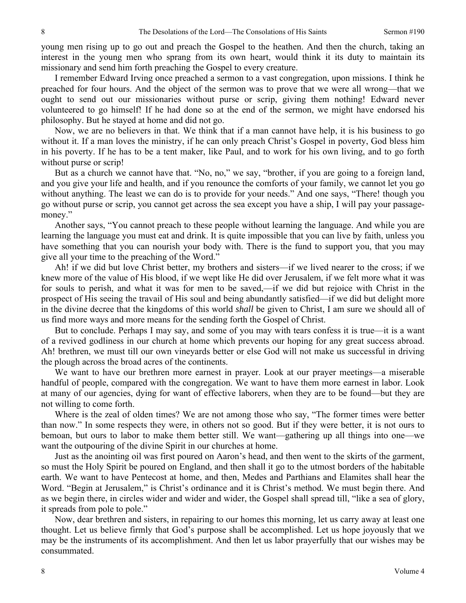young men rising up to go out and preach the Gospel to the heathen. And then the church, taking an interest in the young men who sprang from its own heart, would think it its duty to maintain its missionary and send him forth preaching the Gospel to every creature.

I remember Edward Irving once preached a sermon to a vast congregation, upon missions. I think he preached for four hours. And the object of the sermon was to prove that we were all wrong—that we ought to send out our missionaries without purse or scrip, giving them nothing! Edward never volunteered to go himself! If he had done so at the end of the sermon, we might have endorsed his philosophy. But he stayed at home and did not go.

Now, we are no believers in that. We think that if a man cannot have help, it is his business to go without it. If a man loves the ministry, if he can only preach Christ's Gospel in poverty, God bless him in his poverty. If he has to be a tent maker, like Paul, and to work for his own living, and to go forth without purse or scrip!

But as a church we cannot have that. "No, no," we say, "brother, if you are going to a foreign land, and you give your life and health, and if you renounce the comforts of your family, we cannot let you go without anything. The least we can do is to provide for your needs." And one says, "There! though you go without purse or scrip, you cannot get across the sea except you have a ship, I will pay your passagemoney."

Another says, "You cannot preach to these people without learning the language. And while you are learning the language you must eat and drink. It is quite impossible that you can live by faith, unless you have something that you can nourish your body with. There is the fund to support you, that you may give all your time to the preaching of the Word."

Ah! if we did but love Christ better, my brothers and sisters—if we lived nearer to the cross; if we knew more of the value of His blood, if we wept like He did over Jerusalem, if we felt more what it was for souls to perish, and what it was for men to be saved,—if we did but rejoice with Christ in the prospect of His seeing the travail of His soul and being abundantly satisfied—if we did but delight more in the divine decree that the kingdoms of this world *shall* be given to Christ, I am sure we should all of us find more ways and more means for the sending forth the Gospel of Christ.

But to conclude. Perhaps I may say, and some of you may with tears confess it is true—it is a want of a revived godliness in our church at home which prevents our hoping for any great success abroad. Ah! brethren, we must till our own vineyards better or else God will not make us successful in driving the plough across the broad acres of the continents.

We want to have our brethren more earnest in prayer. Look at our prayer meetings—a miserable handful of people, compared with the congregation. We want to have them more earnest in labor. Look at many of our agencies, dying for want of effective laborers, when they are to be found—but they are not willing to come forth.

Where is the zeal of olden times? We are not among those who say, "The former times were better than now." In some respects they were, in others not so good. But if they were better, it is not ours to bemoan, but ours to labor to make them better still. We want—gathering up all things into one—we want the outpouring of the divine Spirit in our churches at home.

Just as the anointing oil was first poured on Aaron's head, and then went to the skirts of the garment, so must the Holy Spirit be poured on England, and then shall it go to the utmost borders of the habitable earth. We want to have Pentecost at home, and then, Medes and Parthians and Elamites shall hear the Word. "Begin at Jerusalem," is Christ's ordinance and it is Christ's method. We must begin there. And as we begin there, in circles wider and wider and wider, the Gospel shall spread till, "like a sea of glory, it spreads from pole to pole."

Now, dear brethren and sisters, in repairing to our homes this morning, let us carry away at least one thought. Let us believe firmly that God's purpose shall be accomplished. Let us hope joyously that we may be the instruments of its accomplishment. And then let us labor prayerfully that our wishes may be consummated.